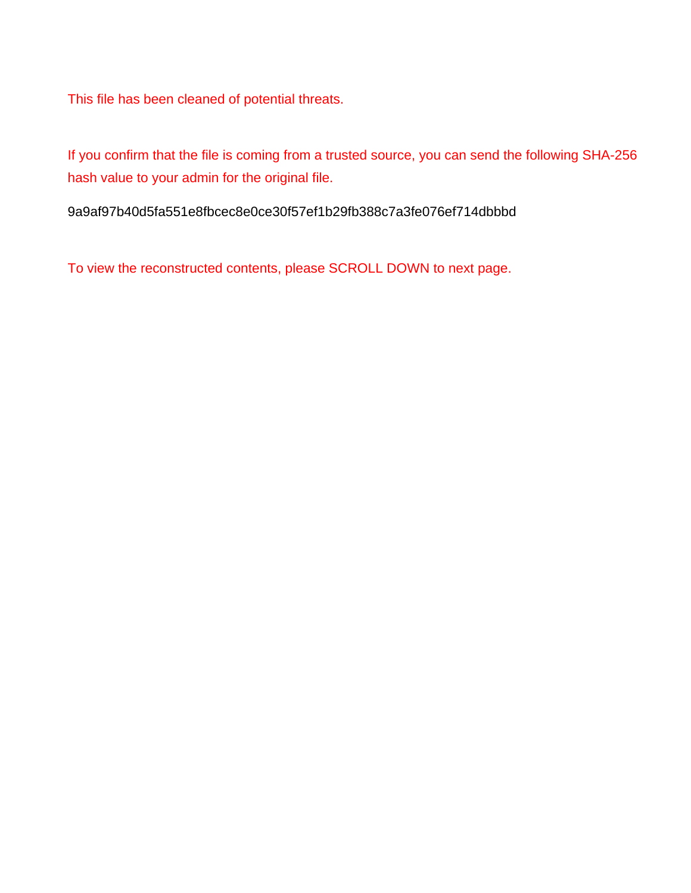This file has been cleaned of potential threats.

If you confirm that the file is coming from a trusted source, you can send the following SHA-256 hash value to your admin for the original file.

9a9af97b40d5fa551e8fbcec8e0ce30f57ef1b29fb388c7a3fe076ef714dbbbd

To view the reconstructed contents, please SCROLL DOWN to next page.